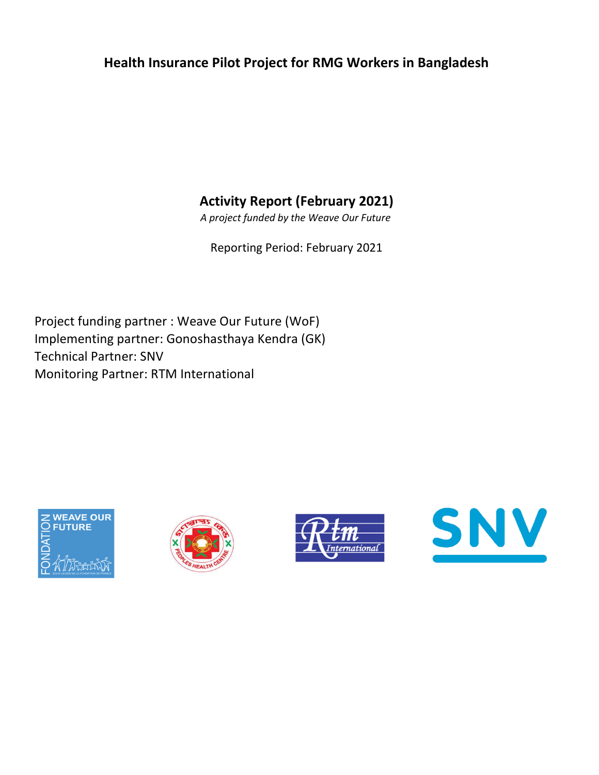## Health Insurance Pilot Project for RMG Workers in Bangladesh

Activity Report (February 2021)

A project funded by the Weave Our Future

Reporting Period: February 2021

Implementing partner: Gonoshasthaya Kendra (GK) Technical Partner: SNV Monitoring Partner: RTM International Project funding partner : Weave Our Future (WoF)







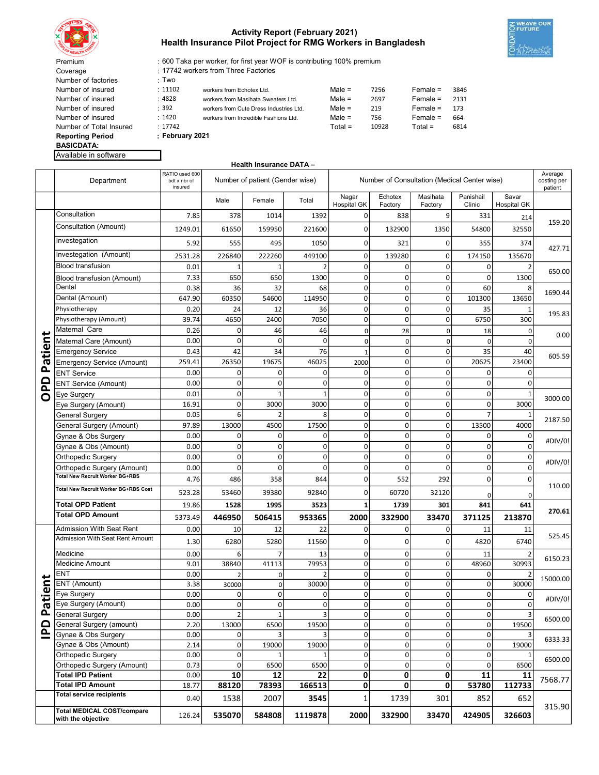

## Activity Report (February 2021) Health Insurance Pilot Project for RMG Workers in Bangladesh



600 Taka per worker, for first year WOF is contributing 100% premium

17742 workers from Three Factories

| Coverage                |                 | 17742 workers from Three Factories      |           |       |             |      |
|-------------------------|-----------------|-----------------------------------------|-----------|-------|-------------|------|
| Number of factories     | : Two           |                                         |           |       |             |      |
| Number of insured       | : 11102         | workers from Echotex Ltd.               | Male $=$  | 7256  | $F$ emale = | 3846 |
| Number of insured       | :4828           | workers from Masihata Sweaters Ltd.     | $Male =$  | 2697  | $Female =$  | 2131 |
| Number of insured       | : 392           | workers from Cute Dress Industries Ltd. | Male $=$  | 219   | $F$ emale = | 173  |
| Number of insured       | : 1420          | workers from Incredible Fashions Ltd.   | Male $=$  | 756   | $F$ emale = | 664  |
| Number of Total Insured | : 17742         |                                         | $Total =$ | 10928 | $Total =$   | 6814 |
| <b>Reporting Period</b> | : February 2021 |                                         |           |       |             |      |
| <b>BASICDATA:</b>       |                 |                                         |           |       |             |      |
| Available in software   |                 |                                         |           |       |             |      |

Health Insurance DATA –

|            | Department                                              | RATIO used 600<br>bdt x nbr of<br>insured |                  | Number of patient (Gender wise) |                    | Number of Consultation (Medical Center wise) |                    |                     |                           | Average<br>costing per<br>patient |          |
|------------|---------------------------------------------------------|-------------------------------------------|------------------|---------------------------------|--------------------|----------------------------------------------|--------------------|---------------------|---------------------------|-----------------------------------|----------|
|            |                                                         |                                           | Male             | Female                          | Total              | Nagar<br><b>Hospital GK</b>                  | Echotex<br>Factory | Masihata<br>Factory | Panishail<br>Clinic       | Savar<br><b>Hospital GK</b>       |          |
|            | Consultation                                            | 7.85                                      | 378              | 1014                            | 1392               | 0                                            | 838                | 9                   | 331                       | 214                               |          |
|            | Consultation (Amount)                                   | 1249.01                                   | 61650            | 159950                          | 221600             | 0                                            | 132900             | 1350                | 54800                     | 32550                             | 159.20   |
|            | Investegation                                           | 5.92                                      | 555              | 495                             | 1050               | 0                                            | 321                | 0                   | 355                       | 374                               |          |
|            | Investegation (Amount)                                  | 2531.28                                   | 226840           | 222260                          | 449100             | 0                                            | 139280             | 0                   | 174150                    | 135670                            | 427.71   |
|            | <b>Blood transfusion</b>                                | 0.01                                      | 1                | 1                               | $\overline{2}$     | 0                                            | $\mathbf 0$        | $\pmb{0}$           | $\mathbf 0$               |                                   |          |
|            | Blood transfusion (Amount)                              | 7.33                                      | 650              | 650                             | 1300               | 0                                            | $\mathbf 0$        | $\mathbf 0$         | $\mathbf 0$               | 1300                              | 650.00   |
|            | Dental                                                  | 0.38                                      | 36               | 32                              | 68                 | 0                                            | $\mathbf 0$        | $\mathbf 0$         | 60                        | 8                                 |          |
|            | Dental (Amount)                                         | 647.90                                    | 60350            | 54600                           | 114950             | 0                                            | $\mathbf 0$        | $\mathbf 0$         | 101300                    | 13650                             | 1690.44  |
|            | Physiotherapy                                           | 0.20                                      | 24               | 12                              | 36                 | 0                                            | $\mathbf 0$        | $\mathbf 0$         | 35                        |                                   |          |
|            | Physiotherapy (Amount)                                  | 39.74                                     | 4650             | 2400                            | 7050               | 0                                            | $\mathbf 0$        | $\mathbf 0$         | 6750                      | 300                               | 195.83   |
|            | Maternal Care                                           | 0.26                                      | 0                | 46                              | 46                 | 0                                            | 28                 | 0                   | 18                        | 0                                 |          |
|            | Maternal Care (Amount)                                  | 0.00                                      | $\mathbf 0$      | $\Omega$                        | $\Omega$           | 0                                            | $\mathbf 0$        | $\mathbf 0$         | $\mathbf 0$               | $\mathbf 0$                       | 0.00     |
| Patien     | <b>Emergency Service</b>                                | 0.43                                      | 42               | 34                              | 76                 | $\mathbf{1}$                                 | $\mathbf 0$        | $\mathbf 0$         | 35                        | 40                                |          |
|            | Emergency Service (Amount)                              | 259.41                                    | 26350            | 19675                           | 46025              | 2000                                         | $\mathbf 0$        | $\mathbf 0$         | 20625                     | 23400                             | 605.59   |
|            | <b>ENT Service</b>                                      | 0.00                                      | 0                | 0                               | 0                  | 0                                            | $\mathbf 0$        | $\mathbf 0$         | 0                         | $\overline{0}$                    |          |
|            | <b>ENT Service (Amount)</b>                             | 0.00                                      | 0                | 0                               | 0                  | 0                                            | $\mathbf 0$        | $\mathbf 0$         | $\mathbf 0$               | $\overline{0}$                    |          |
| OPD        | Eye Surgery                                             | 0.01                                      | $\mathbf 0$      |                                 | $\mathbf{1}$       | 0                                            | $\mathbf 0$        | $\mathbf 0$         | $\mathbf 0$               | 1                                 |          |
|            | Eye Surgery (Amount)                                    | 16.91                                     | 0                | 3000                            | 3000               | 0                                            | $\mathbf 0$        | $\mathbf 0$         | $\mathbf 0$               | 3000                              | 3000.00  |
|            | General Surgery                                         | 0.05                                      | 6                |                                 | 8                  | 0                                            | $\mathbf 0$        | $\mathbf 0$         | $\overline{7}$            |                                   |          |
|            | General Surgery (Amount)                                | 97.89                                     | 13000            | 4500                            | 17500              | 0                                            | $\mathbf 0$        | $\pmb{0}$           | 13500                     | 4000                              | 2187.50  |
|            | Gynae & Obs Surgery                                     | 0.00                                      | 0                | 0                               | 0                  | 0                                            | $\mathbf 0$        | $\mathbf 0$         | $\mathbf 0$               | 0                                 |          |
|            | Gynae & Obs (Amount)                                    | 0.00                                      | $\mathbf 0$      | 0                               | $\mathbf 0$        | 0                                            | $\mathbf 0$        | 0                   | $\mathbf 0$               | 0                                 | #DIV/0!  |
|            | Orthopedic Surgery                                      | 0.00                                      | $\mathbf 0$      | 0                               | $\mathbf 0$        | 0                                            | $\mathbf 0$        | $\mathbf 0$         | $\mathbf 0$               | $\overline{0}$                    | #DIV/0!  |
|            | Orthopedic Surgery (Amount)                             | 0.00                                      | 0                | $\Omega$                        | $\mathbf 0$        | 0                                            | $\mathbf 0$        | 0                   | $\mathbf 0$               | 0                                 |          |
|            | <b>Total New Recruit Worker BG+RBS</b>                  | 4.76                                      | 486              | 358                             | 844                | 0                                            | 552                | 292                 | $\mathbf 0$               | 0                                 |          |
|            | Total New Recruit Worker BG+RBS Cost                    | 523.28                                    | 53460            | 39380                           | 92840              | 0                                            | 60720              | 32120               | $\Omega$                  | 0                                 | 110.00   |
|            | <b>Total OPD Patient</b>                                | 19.86                                     | 1528             | 1995                            | 3523               | 1                                            | 1739               | 301                 | 841                       | 641                               |          |
|            | <b>Total OPD Amount</b>                                 | 5373.49                                   | 446950           | 506415                          | 953365             | 2000                                         | 332900             | 33470               | 371125                    | 213870                            | 270.61   |
|            | Admission With Seat Rent                                |                                           |                  |                                 | 22                 | 0                                            |                    |                     | 11                        |                                   |          |
|            | Admission With Seat Rent Amount                         | 0.00                                      | 10               | 12                              |                    |                                              | $\mathbf 0$        | $\mathbf 0$         |                           | 11                                | 525.45   |
|            |                                                         | 1.30                                      | 6280             | 5280                            | 11560              | 0                                            | $\mathbf 0$        | 0                   | 4820                      | 6740                              |          |
|            | Medicine                                                | 0.00                                      | 6                |                                 | 13                 | 0                                            | $\mathbf 0$        | $\pmb{0}$           | 11                        |                                   | 6150.23  |
|            | Medicine Amount                                         | 9.01                                      | 38840            | 41113                           | 79953              | 0                                            | $\mathbf 0$        | $\mathbf 0$         | 48960                     | 30993                             |          |
|            | ENT                                                     | 0.00                                      | $\overline{2}$   | 0                               | $\overline{2}$     | 0                                            | $\mathbf 0$        | $\mathbf 0$         | $\mathbf 0$               |                                   | 15000.00 |
| itient     | ENT (Amount)                                            | 3.38                                      | 30000            | 0                               | 30000              | 0                                            | $\mathbf 0$        | $\pmb{0}$           | $\pmb{0}$                 | 30000                             |          |
|            | Eye Surgery<br>Eye Surgery (Amount)                     | 0.00                                      | 0<br>$\mathbf 0$ | 0<br>0                          | 0<br>0             | $\mathbf 0$<br>0                             | $\mathbf 0$<br>0   | $\mathbf 0$<br>0    | 0<br>0                    | 0<br>0                            | #DIV/0!  |
| ᠭᠣ<br>௨    | <b>General Surgery</b>                                  | 0.00<br>0.00                              | 2                | $\mathbf{1}$                    |                    | $\pmb{0}$                                    | 0                  | $\overline{0}$      | 0                         |                                   |          |
|            | General Surgery (amount)                                | 2.20                                      | 13000            | 6500                            | $\vert$ 3<br>19500 | $\overline{\mathbf{0}}$                      | $\Omega$           | $\overline{0}$      | $\overline{\mathfrak{o}}$ | 3<br>19500                        | 6500.00  |
| <b>Qdl</b> | Gynae & Obs Surgery                                     | 0.00                                      | $\mathbf{0}$     |                                 | 3                  | 0                                            | $\overline{0}$     | 0                   | $\Omega$                  |                                   |          |
|            | Gynae & Obs (Amount)                                    | 2.14                                      | $\mathbf 0$      | 19000                           | 19000              | 0                                            | $\overline{0}$     | $\pmb{0}$           | 0l                        | 19000                             | 6333.33  |
|            | Orthopedic Surgery                                      | 0.00                                      | 0                |                                 | 1                  | 0                                            | $\overline{0}$     | $\pmb{0}$           | $\overline{0}$            |                                   |          |
|            | Orthopedic Surgery (Amount)                             | 0.73                                      | $\mathbf{0}$     | 6500                            | 6500               | 0                                            | $\overline{0}$     | $\pmb{0}$           | $\overline{0}$            | 6500                              | 6500.00  |
|            | <b>Total IPD Patient</b>                                | 0.00                                      | 10               | 12                              | 22                 | 0                                            | 0                  | 0                   | 11                        | 11                                |          |
|            | <b>Total IPD Amount</b>                                 | 18.77                                     | 88120            | 78393                           | 166513             | 0                                            | $\mathbf{0}$       | 0                   | 53780                     | 112733                            | 7568.77  |
|            | <b>Total service recipients</b>                         | 0.40                                      | 1538             | 2007                            | 3545               | 1                                            | 1739               | 301                 | 852                       | 652                               |          |
|            |                                                         |                                           |                  |                                 |                    |                                              |                    |                     |                           |                                   |          |
|            | <b>Total MEDICAL COST/compare</b><br>with the objective | 126.24                                    | 535070           | 584808                          | 1119878            | 2000                                         | 332900             | 33470               | 424905                    | 326603                            | 315.90   |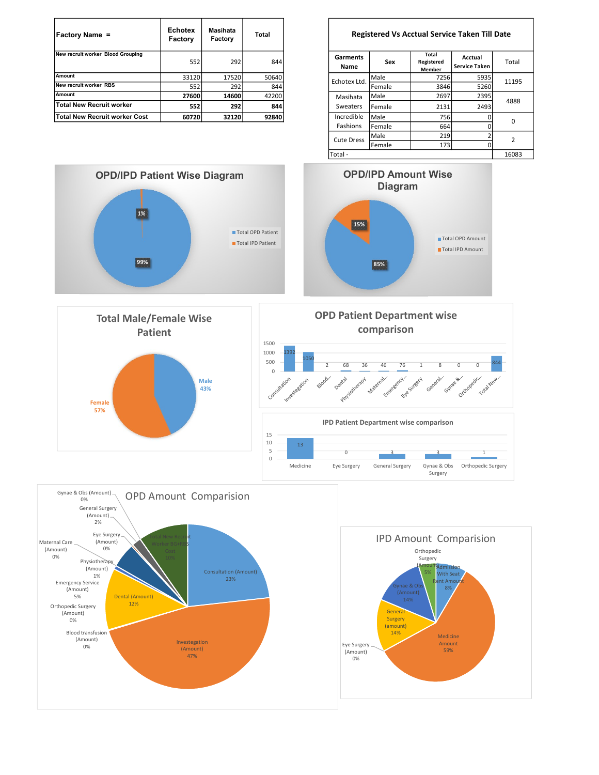| <b>Factory Name =</b>             | <b>Echotex</b><br>Factory | Masihata<br>Factory | Total | <b>Registered Vs Acctual Service Taken Till</b> |        |                               |                          |
|-----------------------------------|---------------------------|---------------------|-------|-------------------------------------------------|--------|-------------------------------|--------------------------|
| New recruit worker Blood Grouping | 552                       | 292                 | 844   | Garments<br>Name                                | Sex    | Total<br>Registered<br>Member | Acctual<br>Service Taken |
| Amount                            | 33120                     | 17520               | 50640 | Echotex Ltd.                                    | Male   | 7256                          | 5935                     |
| New recruit worker RBS            | 552                       | 292                 | 844   |                                                 | Female | 3846                          | 5260                     |
| Amount                            | 27600                     | 14600               | 42200 | Masihata                                        | Male   | 2697                          | 2395                     |
| Total New Recruit worker          | 552                       | 292                 | 844   | Sweaters                                        | Female | 2131                          | 2493                     |
| Total New Recruit worker Cost     | 60720                     | 32120               | 92840 | Incredible                                      | Male   | 756                           | $\Omega$                 |

## Registered Vs Acctual Service Taken Till Date

| Garments<br>Name     | Sex    | Total<br>Registered<br><b>Member</b> | Acctual<br><b>Service Taken</b> | Total          |  |
|----------------------|--------|--------------------------------------|---------------------------------|----------------|--|
| Echotex Ltd.         | Male   | 7256                                 | 5935                            | 11195          |  |
|                      | Female | 3846                                 | 5260                            |                |  |
| Masihata<br>Sweaters | Male   | 2697                                 | 2395                            |                |  |
|                      | Female | 2131                                 | 2493                            | 4888           |  |
| Incredible           | Male   | 756                                  |                                 | 0              |  |
| Fashions             | Female | 664                                  | C                               |                |  |
| <b>Cute Dress</b>    | Male   | 219                                  | h                               | $\overline{2}$ |  |
|                      | Female | 173                                  | C                               |                |  |
| Total -              |        |                                      |                                 | 16083          |  |





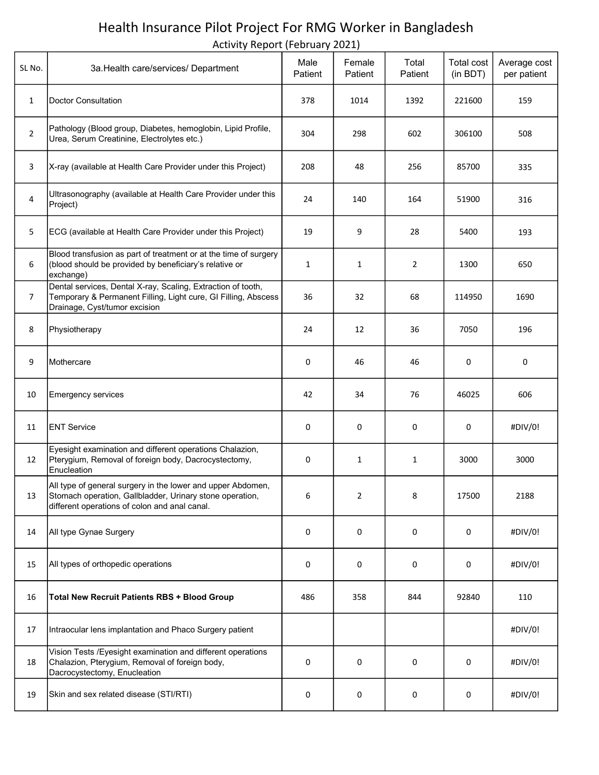## Health Insurance Pilot Project For RMG Worker in Bangladesh

Activity Report (February 2021)

| SL No.         | 3a. Health care/services/ Department                                                                                                                                     | Male<br>Patient | Female<br>Patient | Total<br>Patient | <b>Total cost</b><br>(in BDT) | Average cost<br>per patient |
|----------------|--------------------------------------------------------------------------------------------------------------------------------------------------------------------------|-----------------|-------------------|------------------|-------------------------------|-----------------------------|
| $\mathbf{1}$   | <b>Doctor Consultation</b>                                                                                                                                               | 378             | 1014              | 1392             | 221600                        | 159                         |
| $\overline{2}$ | Pathology (Blood group, Diabetes, hemoglobin, Lipid Profile,<br>Urea, Serum Creatinine, Electrolytes etc.)                                                               | 304             | 298               | 602              | 306100                        | 508                         |
| 3              | X-ray (available at Health Care Provider under this Project)                                                                                                             | 208             | 48                | 256              | 85700                         | 335                         |
| 4              | Ultrasonography (available at Health Care Provider under this<br>Project)                                                                                                | 24              | 140               | 164              | 51900                         | 316                         |
| 5              | ECG (available at Health Care Provider under this Project)                                                                                                               | 19              | 9                 | 28               | 5400                          | 193                         |
| 6              | Blood transfusion as part of treatment or at the time of surgery<br>(blood should be provided by beneficiary's relative or<br>exchange)                                  | 1               | $\mathbf{1}$      | $\overline{2}$   | 1300                          | 650                         |
| $\overline{7}$ | Dental services, Dental X-ray, Scaling, Extraction of tooth,<br>Temporary & Permanent Filling, Light cure, GI Filling, Abscess<br>Drainage, Cyst/tumor excision          | 36              | 32                | 68               | 114950                        | 1690                        |
| 8              | Physiotherapy                                                                                                                                                            | 24              | 12                | 36               | 7050                          | 196                         |
| 9              | Mothercare                                                                                                                                                               | 0               | 46                | 46               | 0                             | 0                           |
| 10             | <b>Emergency services</b>                                                                                                                                                | 42              | 34                | 76               | 46025                         | 606                         |
| 11             | <b>ENT Service</b>                                                                                                                                                       | 0               | 0                 | 0                | 0                             | #DIV/0!                     |
| 12             | Eyesight examination and different operations Chalazion,<br>Pterygium, Removal of foreign body, Dacrocystectomy,<br>Enucleation                                          | 0               | $\mathbf{1}$      | $\mathbf{1}$     | 3000                          | 3000                        |
| 13             | All type of general surgery in the lower and upper Abdomen,<br>Stomach operation, Gallbladder, Urinary stone operation,<br>different operations of colon and anal canal. | 6               | 2                 | 8                | 17500                         | 2188                        |
| 14             | All type Gynae Surgery                                                                                                                                                   | 0               | 0                 | 0                | 0                             | #DIV/0!                     |
| 15             | All types of orthopedic operations                                                                                                                                       | 0               | 0                 | 0                | 0                             | #DIV/0!                     |
| 16             | <b>Total New Recruit Patients RBS + Blood Group</b>                                                                                                                      | 486             | 358               | 844              | 92840                         | 110                         |
| 17             | Intraocular lens implantation and Phaco Surgery patient                                                                                                                  |                 |                   |                  |                               | #DIV/0!                     |
| 18             | Vision Tests / Eyesight examination and different operations<br>Chalazion, Pterygium, Removal of foreign body,<br>Dacrocystectomy, Enucleation                           | 0               | 0                 | 0                | 0                             | #DIV/0!                     |
| 19             | Skin and sex related disease (STI/RTI)                                                                                                                                   | 0               | 0                 | 0                | 0                             | #DIV/0!                     |